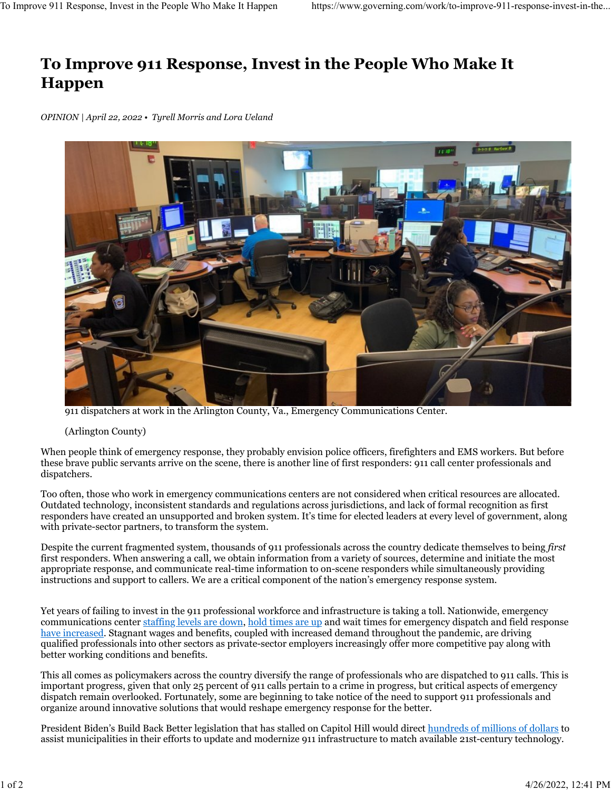## **To Improve 911 Response, Invest in the People Who Make It Happen**

*OPINION | April 22, 2022 • Tyrell Morris and Lora Ueland*



911 dispatchers at work in the Arlington County, Va., Emergency Communications Center.

## (Arlington County)

When people think of emergency response, they probably envision police officers, firefighters and EMS workers. But before these brave public servants arrive on the scene, there is another line of first responders: 911 call center professionals and dispatchers.

Too often, those who work in emergency communications centers are not considered when critical resources are allocated. Outdated technology, inconsistent standards and regulations across jurisdictions, and lack of formal recognition as first responders have created an unsupported and broken system. It's time for elected leaders at every level of government, along with private-sector partners, to transform the system.

Despite the current fragmented system, thousands of 911 professionals across the country dedicate themselves to being *first* first responders. When answering a call, we obtain information from a variety of sources, determine and initiate the most appropriate response, and communicate real-time information to on-scene responders while simultaneously providing instructions and support to callers. We are a critical component of the nation's emergency response system.

Yet years of failing to invest in the 911 professional workforce and infrastructure is taking a toll. Nationwide, emergency communications center [staffing levels are down,](https://www.goodmorningamerica.com/news/video/critical-shortage-911-operators-nation-80852800) [hold times are up](https://www.oregonlive.com/crime/2021/09/portland-callers-to-911-more-often-on-hold-for-over-5-minutes-as-calls-rise-staff-drops.html) and wait times for emergency dispatch and field response [have increased.](https://www.latimes.com/california/story/2022-01-03/l-a-county-see-delays-in-911-ambulance-calls-as-omicron-taxes-hospitals) Stagnant wages and benefits, coupled with increased demand throughout the pandemic, are driving qualified professionals into other sectors as private-sector employers increasingly offer more competitive pay along with better working conditions and benefits.

This all comes as policymakers across the country diversify the range of professionals who are dispatched to 911 calls. This is important progress, given that only 25 percent of 911 calls pertain to a crime in progress, but critical aspects of emergency dispatch remain overlooked. Fortunately, some are beginning to take notice of the need to support 911 professionals and organize around innovative solutions that would reshape emergency response for the better.

President Biden's Build Back Better legislation that has stalled on Capitol Hill would direct [hundreds of millions of dollars](https://statescoop.com/build-back-better-next-generation-911-stalled/) to assist municipalities in their efforts to update and modernize 911 infrastructure to match available 21st-century technology.